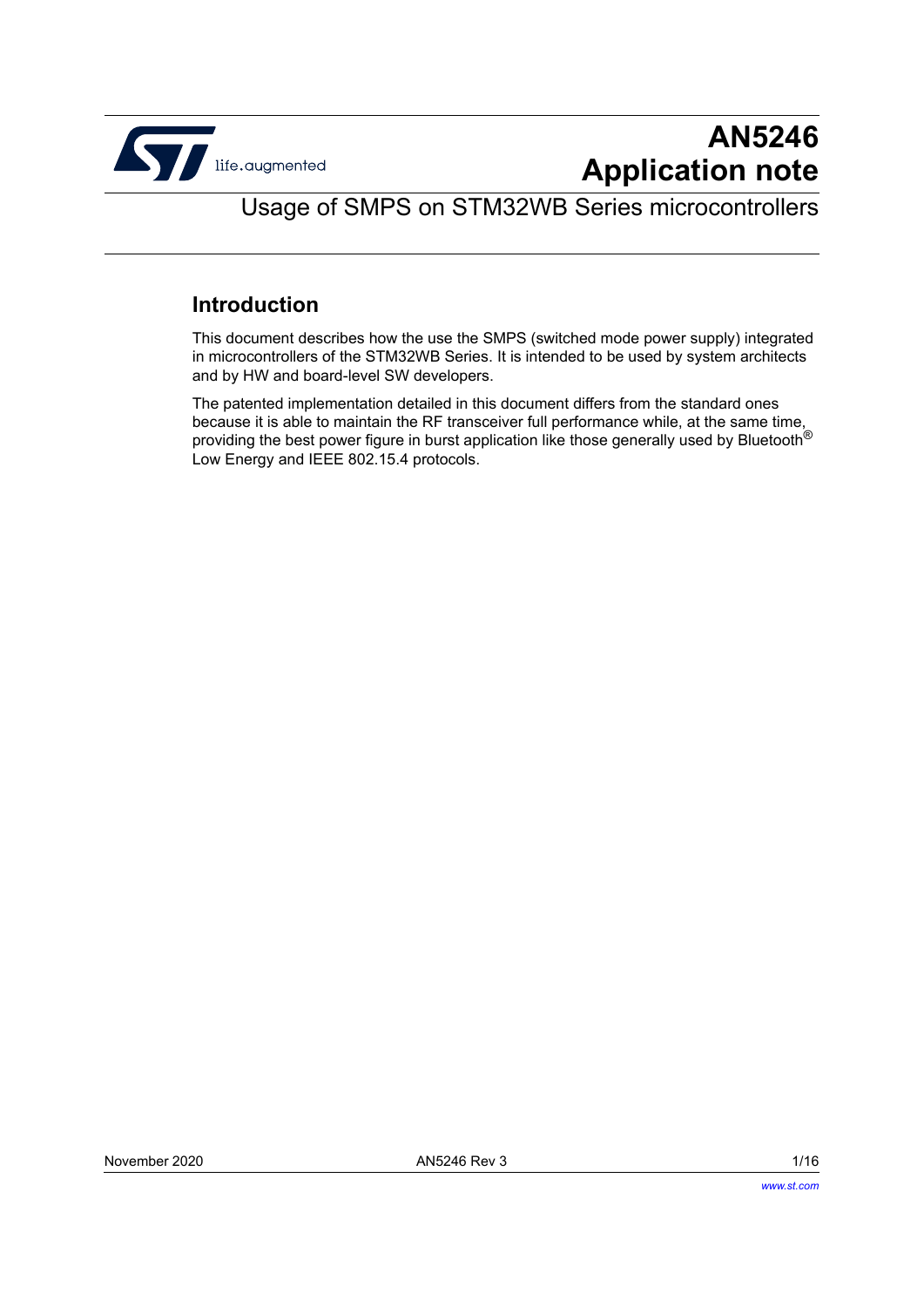

# **AN5246 Application note**

Usage of SMPS on STM32WB Series microcontrollers

# **Introduction**

This document describes how the use the SMPS (switched mode power supply) integrated in microcontrollers of the STM32WB Series. It is intended to be used by system architects and by HW and board-level SW developers.

The patented implementation detailed in this document differs from the standard ones because it is able to maintain the RF transceiver full performance while, at the same time, providing the best power figure in burst application like those generally used by Bluetooth® Low Energy and IEEE 802.15.4 protocols.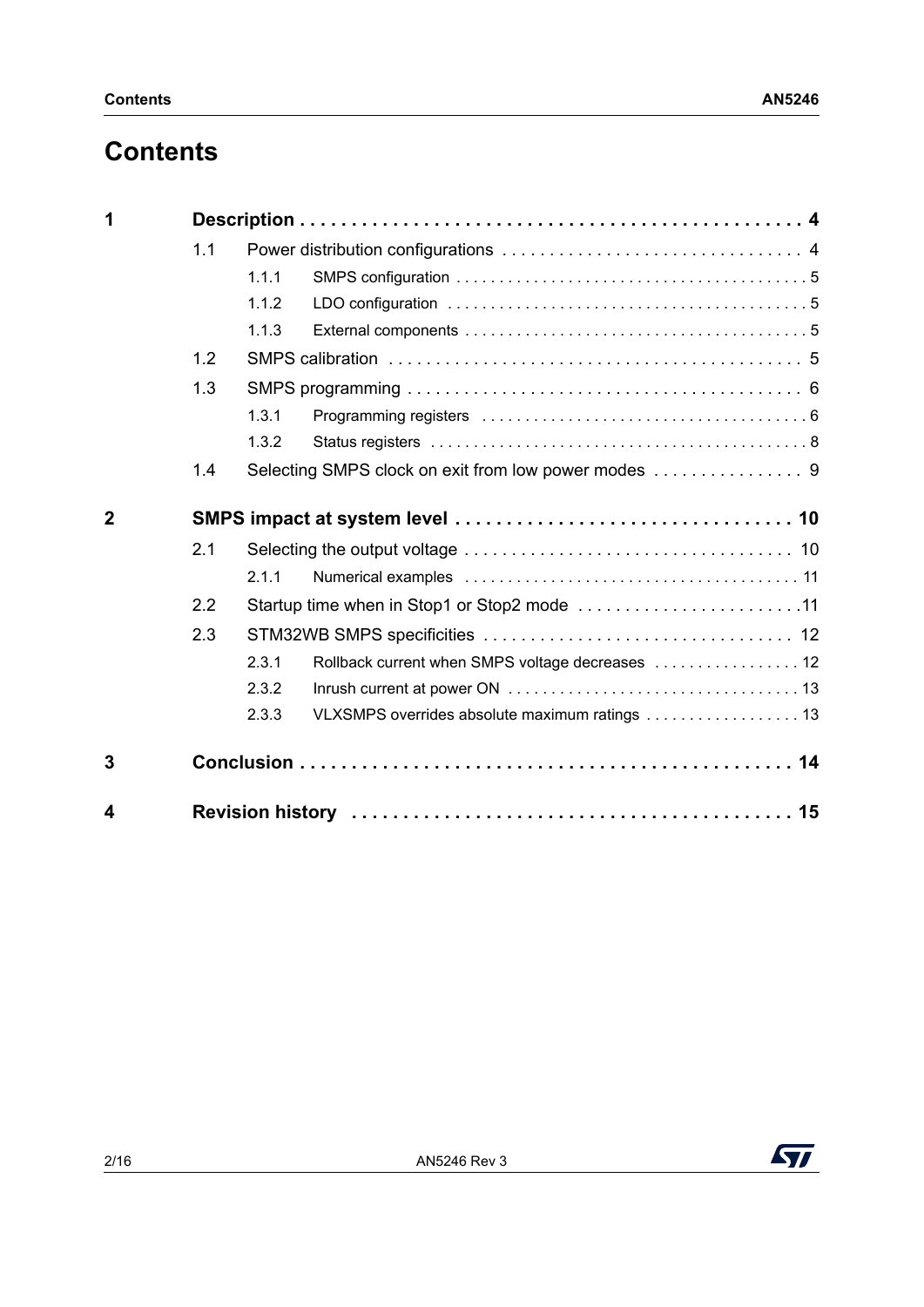# **Contents**

| 1              |     |                                                           |  |  |  |
|----------------|-----|-----------------------------------------------------------|--|--|--|
|                | 1.1 |                                                           |  |  |  |
|                |     | 1.1.1                                                     |  |  |  |
|                |     | 1.1.2                                                     |  |  |  |
|                |     | 1.1.3                                                     |  |  |  |
|                | 1.2 |                                                           |  |  |  |
|                | 1.3 |                                                           |  |  |  |
|                |     | 1.3.1                                                     |  |  |  |
|                |     | 1.3.2                                                     |  |  |  |
|                | 1.4 |                                                           |  |  |  |
| $\overline{2}$ |     |                                                           |  |  |  |
|                | 2.1 |                                                           |  |  |  |
|                |     | 2.1.1                                                     |  |  |  |
|                | 2.2 | Startup time when in Stop1 or Stop2 mode 11               |  |  |  |
|                | 2.3 |                                                           |  |  |  |
|                |     | 2.3.1<br>Rollback current when SMPS voltage decreases  12 |  |  |  |
|                |     | 2.3.2                                                     |  |  |  |
|                |     | VLXSMPS overrides absolute maximum ratings 13<br>2.3.3    |  |  |  |
| 3              |     |                                                           |  |  |  |
| 4              |     |                                                           |  |  |  |

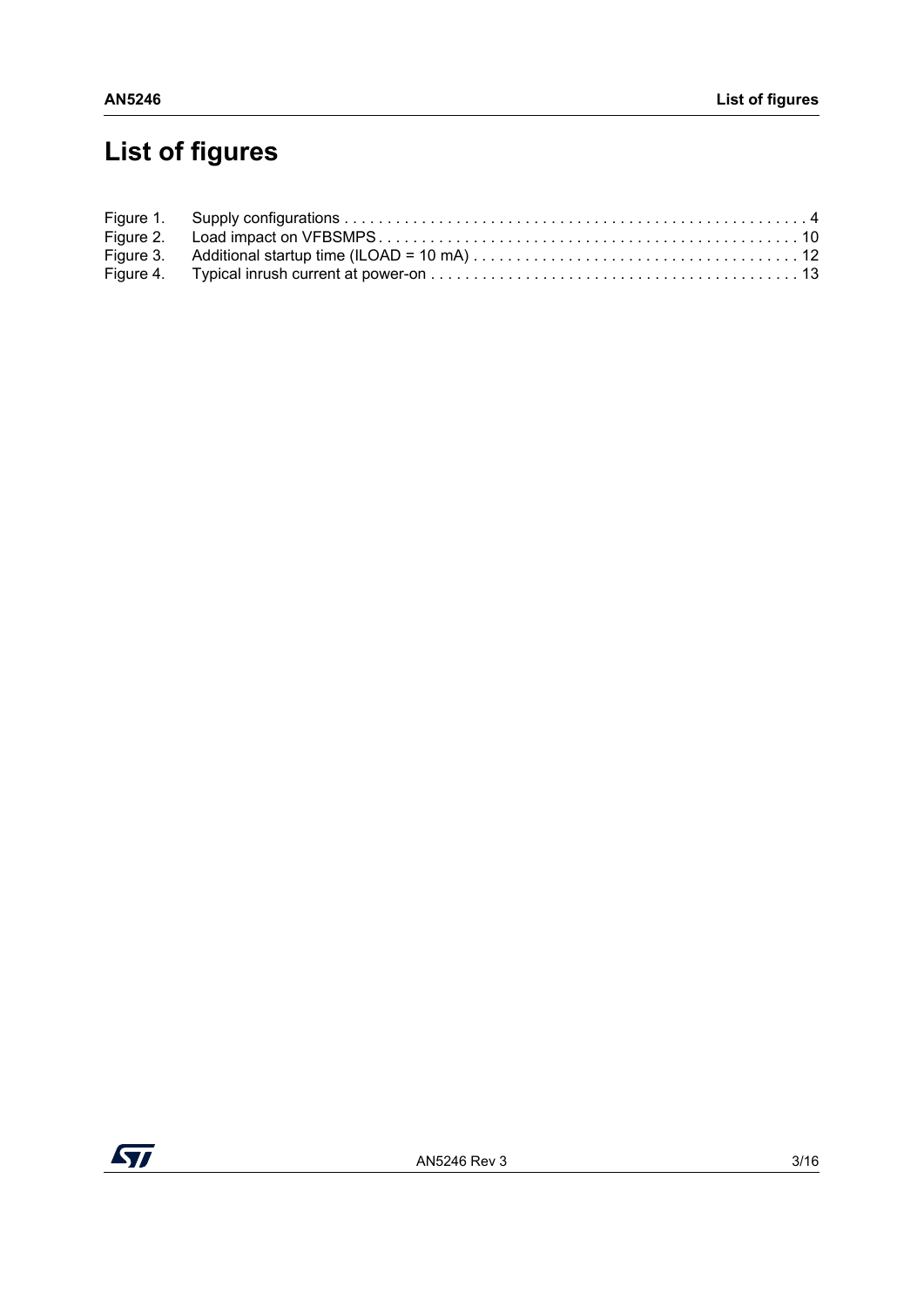# **List of figures**

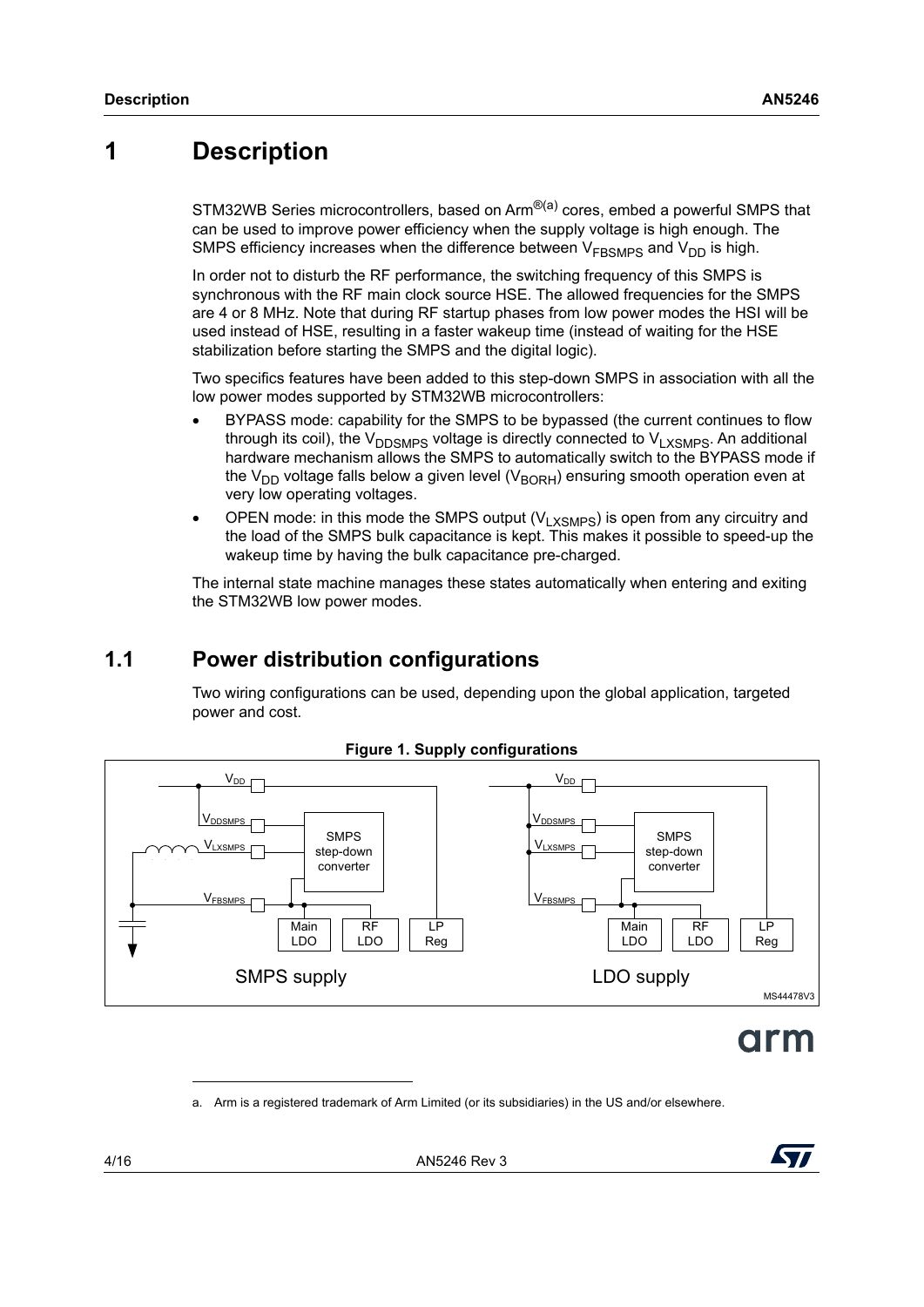# <span id="page-3-0"></span>**1 Description**

STM32WB Series microcontrollers, based on Arm<sup>®(a)</sup> cores, embed a powerful SMPS that can be used to improve power efficiency when the supply voltage is high enough. The SMPS efficiency increases when the difference between  $V_{FBSMPS}$  and  $V_{DD}$  is high.

In order not to disturb the RF performance, the switching frequency of this SMPS is synchronous with the RF main clock source HSE. The allowed frequencies for the SMPS are 4 or 8 MHz. Note that during RF startup phases from low power modes the HSI will be used instead of HSE, resulting in a faster wakeup time (instead of waiting for the HSE stabilization before starting the SMPS and the digital logic).

Two specifics features have been added to this step-down SMPS in association with all the low power modes supported by STM32WB microcontrollers:

- BYPASS mode: capability for the SMPS to be bypassed (the current continues to flow through its coil), the  $V_{\text{DDSMPS}}$  voltage is directly connected to  $V_{\text{L}X\text{SMPS}}$ . An additional hardware mechanism allows the SMPS to automatically switch to the BYPASS mode if the V<sub>DD</sub> voltage falls below a given level (V<sub>BORH</sub>) ensuring smooth operation even at very low operating voltages.
- OPEN mode: in this mode the SMPS output  $(V_{LXSMPS})$  is open from any circuitry and the load of the SMPS bulk capacitance is kept. This makes it possible to speed-up the wakeup time by having the bulk capacitance pre-charged.

The internal state machine manages these states automatically when entering and exiting the STM32WB low power modes.

# <span id="page-3-1"></span>**1.1 Power distribution configurations**

Two wiring configurations can be used, depending upon the global application, targeted power and cost.

<span id="page-3-2"></span>

#### **Figure 1. Supply configurations**

# arm

a. Arm is a registered trademark of Arm Limited (or its subsidiaries) in the US and/or elsewhere.

4/16 AN5246 Rev 3

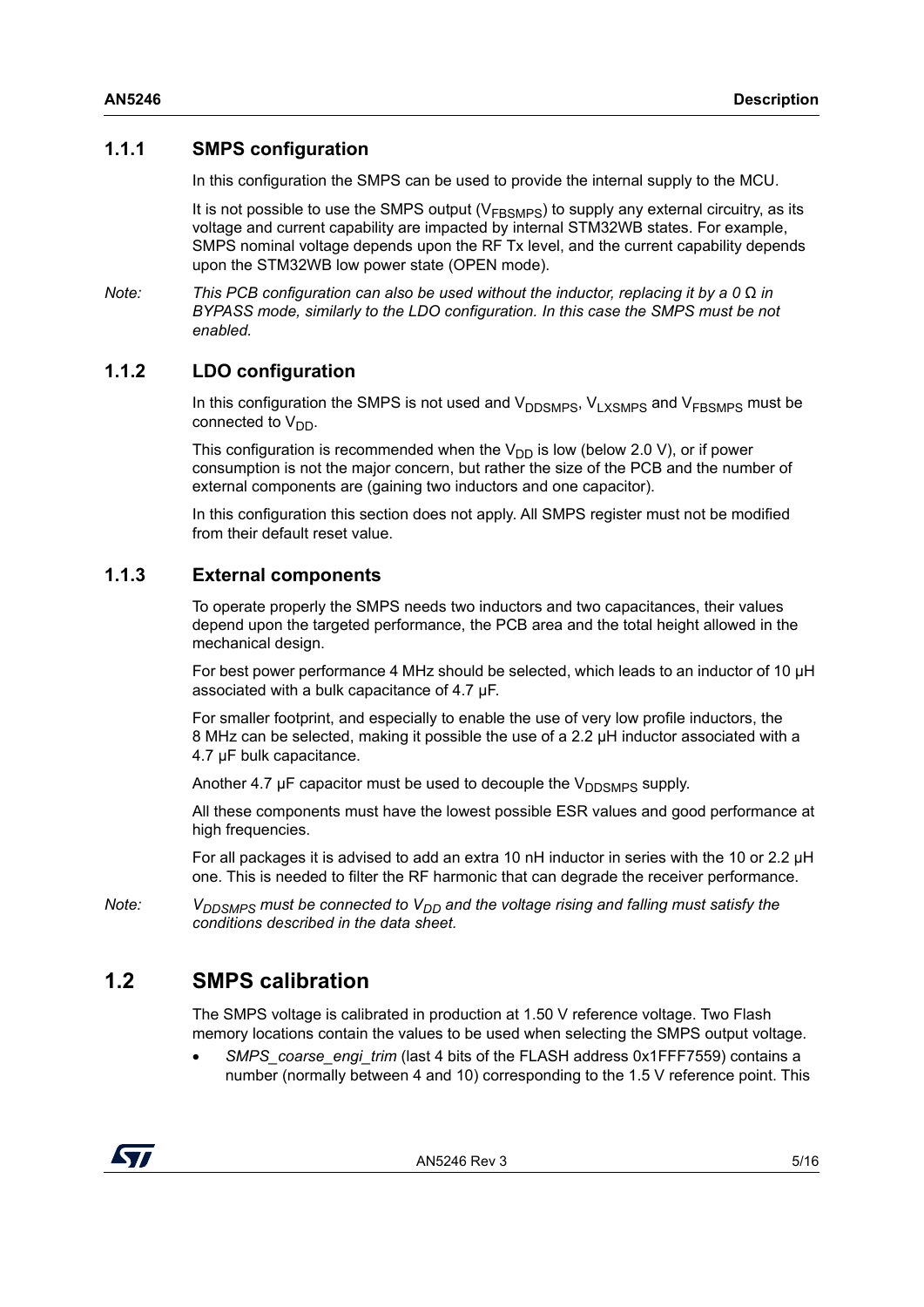### <span id="page-4-0"></span>**1.1.1 SMPS configuration**

In this configuration the SMPS can be used to provide the internal supply to the MCU.

It is not possible to use the SMPS output ( $V<sub>FBSMPS</sub>$ ) to supply any external circuitry, as its voltage and current capability are impacted by internal STM32WB states. For example, SMPS nominal voltage depends upon the RF Tx level, and the current capability depends upon the STM32WB low power state (OPEN mode).

*Note: This PCB configuration can also be used without the inductor, replacing it by a 0* Ω *in BYPASS mode, similarly to the LDO configuration. In this case the SMPS must be not enabled.*

## <span id="page-4-1"></span>**1.1.2 LDO configuration**

In this configuration the SMPS is not used and  $V_{\text{DDSMPS}}$ ,  $V_{\text{LXSMPS}}$  and  $V_{\text{FRSMPS}}$  must be connected to  $V_{DD}$ .

This configuration is recommended when the  $V_{DD}$  is low (below 2.0 V), or if power consumption is not the major concern, but rather the size of the PCB and the number of external components are (gaining two inductors and one capacitor).

In this configuration this section does not apply. All SMPS register must not be modified from their default reset value.

### <span id="page-4-2"></span>**1.1.3 External components**

To operate properly the SMPS needs two inductors and two capacitances, their values depend upon the targeted performance, the PCB area and the total height allowed in the mechanical design.

For best power performance 4 MHz should be selected, which leads to an inductor of 10 µH associated with a bulk capacitance of 4.7 µF.

For smaller footprint, and especially to enable the use of very low profile inductors, the 8 MHz can be selected, making it possible the use of a 2.2  $\mu$ H inductor associated with a 4.7 µF bulk capacitance.

Another 4.7  $\mu$ F capacitor must be used to decouple the  $V_{\text{DISMPS}}$  supply.

All these components must have the lowest possible ESR values and good performance at high frequencies.

For all packages it is advised to add an extra 10 nH inductor in series with the 10 or 2.2 µH one. This is needed to filter the RF harmonic that can degrade the receiver performance.

*Note:*  $V_{DDSMPS}$  must be connected to  $V_{DD}$  and the voltage rising and falling must satisfy the *conditions described in the data sheet.*

# <span id="page-4-3"></span>**1.2 SMPS calibration**

The SMPS voltage is calibrated in production at 1.50 V reference voltage. Two Flash memory locations contain the values to be used when selecting the SMPS output voltage.

 *SMPS\_coarse\_engi\_trim* (last 4 bits of the FLASH address 0x1FFF7559) contains a number (normally between 4 and 10) corresponding to the 1.5 V reference point. This

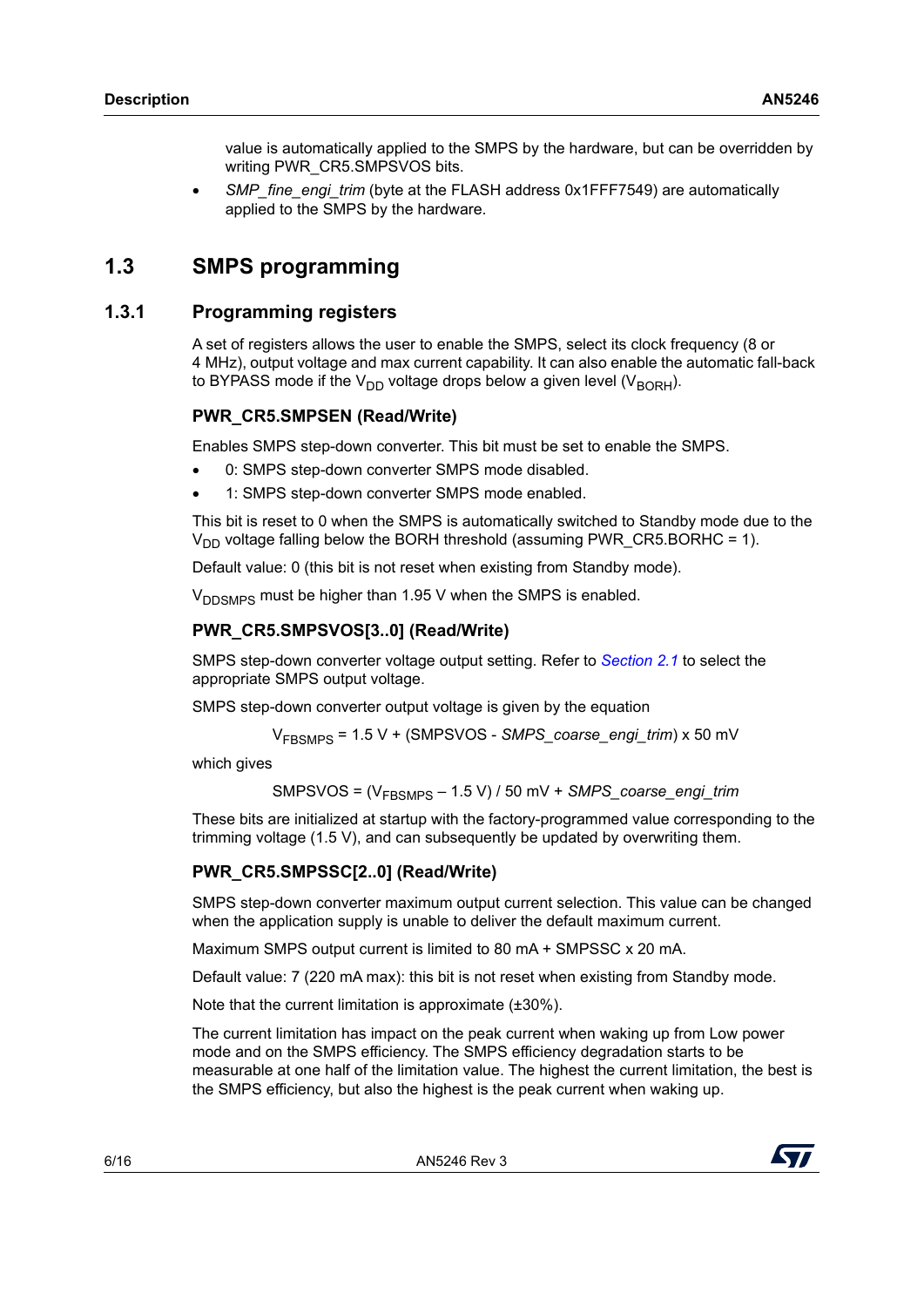value is automatically applied to the SMPS by the hardware, but can be overridden by writing PWR\_CR5.SMPSVOS bits.

*SMP\_fine\_engi\_trim* (byte at the FLASH address 0x1FFF7549) are automatically applied to the SMPS by the hardware.

# <span id="page-5-0"></span>**1.3 SMPS programming**

### <span id="page-5-1"></span>**1.3.1 Programming registers**

A set of registers allows the user to enable the SMPS, select its clock frequency (8 or 4 MHz), output voltage and max current capability. It can also enable the automatic fall-back to BYPASS mode if the  $V_{DD}$  voltage drops below a given level (V<sub>BORH</sub>).

#### **PWR\_CR5.SMPSEN (Read/Write)**

Enables SMPS step-down converter. This bit must be set to enable the SMPS.

- 0: SMPS step-down converter SMPS mode disabled.
- 1: SMPS step-down converter SMPS mode enabled.

This bit is reset to 0 when the SMPS is automatically switched to Standby mode due to the  $V_{DD}$  voltage falling below the BORH threshold (assuming PWR\_CR5.BORHC = 1).

Default value: 0 (this bit is not reset when existing from Standby mode).

V<sub>DDSMPS</sub> must be higher than 1.95 V when the SMPS is enabled.

#### **PWR\_CR5.SMPSVOS[3..0] (Read/Write)**

SMPS step-down converter voltage output setting. Refer to *[Section](#page-9-1) 2.1* to select the appropriate SMPS output voltage.

SMPS step-down converter output voltage is given by the equation

$$
V_{\text{FBSMPS}} = 1.5 \text{ V} + (\text{SMPSVOS} - \text{SMPS\_coarse\_engi\_trim}) \times 50 \text{ mV}
$$

which gives

SMPSVOS = (VFBSMPS – 1.5 V) / 50 mV + *SMPS\_coarse\_engi\_trim*

These bits are initialized at startup with the factory-programmed value corresponding to the trimming voltage (1.5 V), and can subsequently be updated by overwriting them.

#### **PWR\_CR5.SMPSSC[2..0] (Read/Write)**

SMPS step-down converter maximum output current selection. This value can be changed when the application supply is unable to deliver the default maximum current.

Maximum SMPS output current is limited to 80 mA + SMPSSC x 20 mA.

Default value: 7 (220 mA max): this bit is not reset when existing from Standby mode.

Note that the current limitation is approximate (±30%).

The current limitation has impact on the peak current when waking up from Low power mode and on the SMPS efficiency. The SMPS efficiency degradation starts to be measurable at one half of the limitation value. The highest the current limitation, the best is the SMPS efficiency, but also the highest is the peak current when waking up.

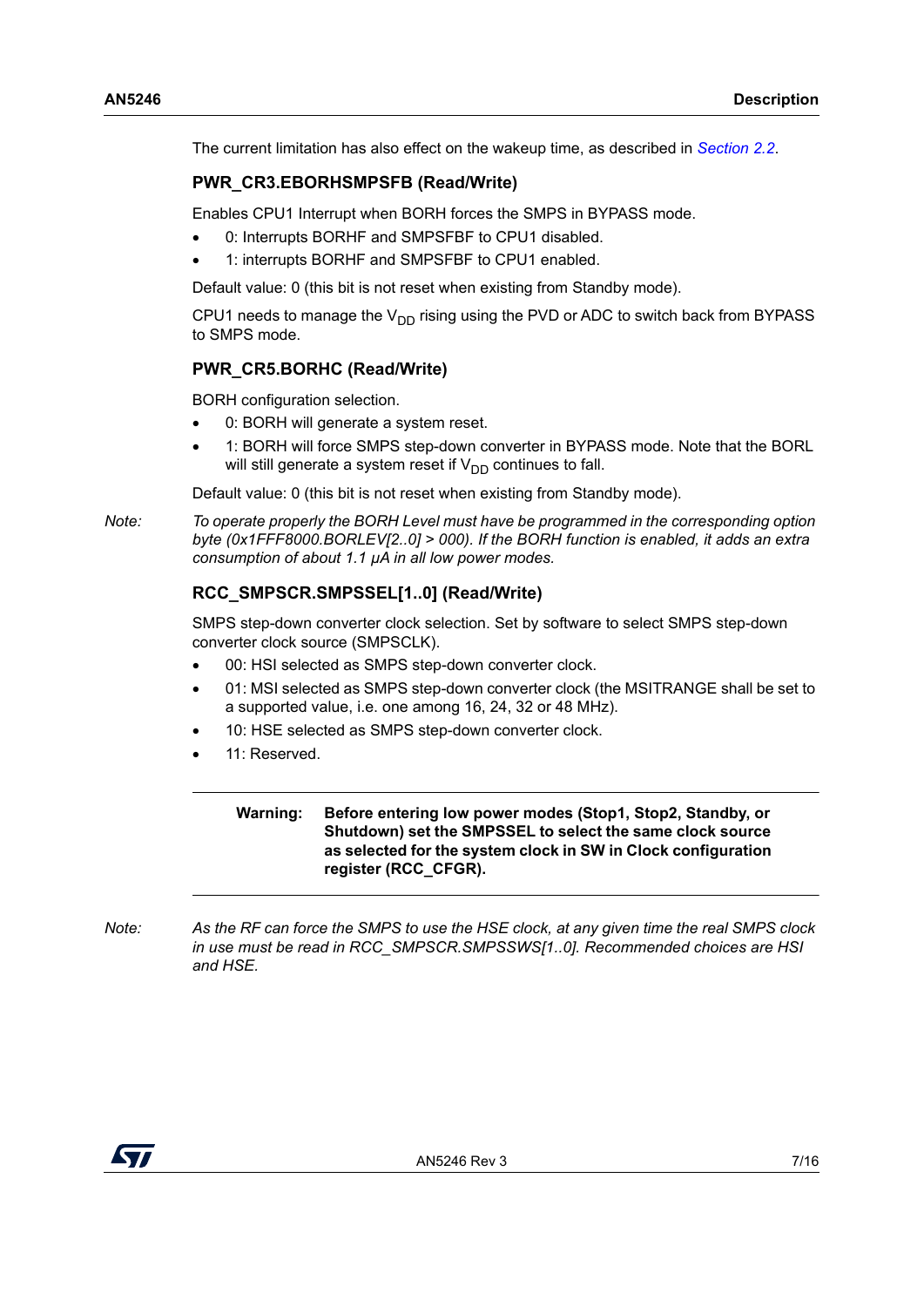The current limitation has also effect on the wakeup time, as described in *[Section](#page-10-1) 2.2*.

#### **PWR\_CR3.EBORHSMPSFB (Read/Write)**

Enables CPU1 Interrupt when BORH forces the SMPS in BYPASS mode.

- 0: Interrupts BORHF and SMPSFBF to CPU1 disabled.
- 1: interrupts BORHF and SMPSFBF to CPU1 enabled.

Default value: 0 (this bit is not reset when existing from Standby mode).

CPU1 needs to manage the  $V_{DD}$  rising using the PVD or ADC to switch back from BYPASS to SMPS mode.

#### **PWR\_CR5.BORHC (Read/Write)**

BORH configuration selection.

- 0: BORH will generate a system reset.
- 1: BORH will force SMPS step-down converter in BYPASS mode. Note that the BORL will still generate a system reset if  $V_{DD}$  continues to fall.

Default value: 0 (this bit is not reset when existing from Standby mode).

*Note: To operate properly the BORH Level must have be programmed in the corresponding option byte (0x1FFF8000.BORLEV[2..0] > 000). If the BORH function is enabled, it adds an extra consumption of about 1.1 µA in all low power modes.*

### **RCC\_SMPSCR.SMPSSEL[1..0] (Read/Write)**

SMPS step-down converter clock selection. Set by software to select SMPS step-down converter clock source (SMPSCLK).

- 00: HSI selected as SMPS step-down converter clock.
- 01: MSI selected as SMPS step-down converter clock (the MSITRANGE shall be set to a supported value, i.e. one among 16, 24, 32 or 48 MHz).
- 10: HSE selected as SMPS step-down converter clock.
- 11: Reserved.

**Warning: Before entering low power modes (Stop1, Stop2, Standby, or Shutdown) set the SMPSSEL to select the same clock source as selected for the system clock in SW in Clock configuration register (RCC\_CFGR).**

*Note: As the RF can force the SMPS to use the HSE clock, at any given time the real SMPS clock in use must be read in RCC\_SMPSCR.SMPSSWS[1..0]. Recommended choices are HSI and HSE.*

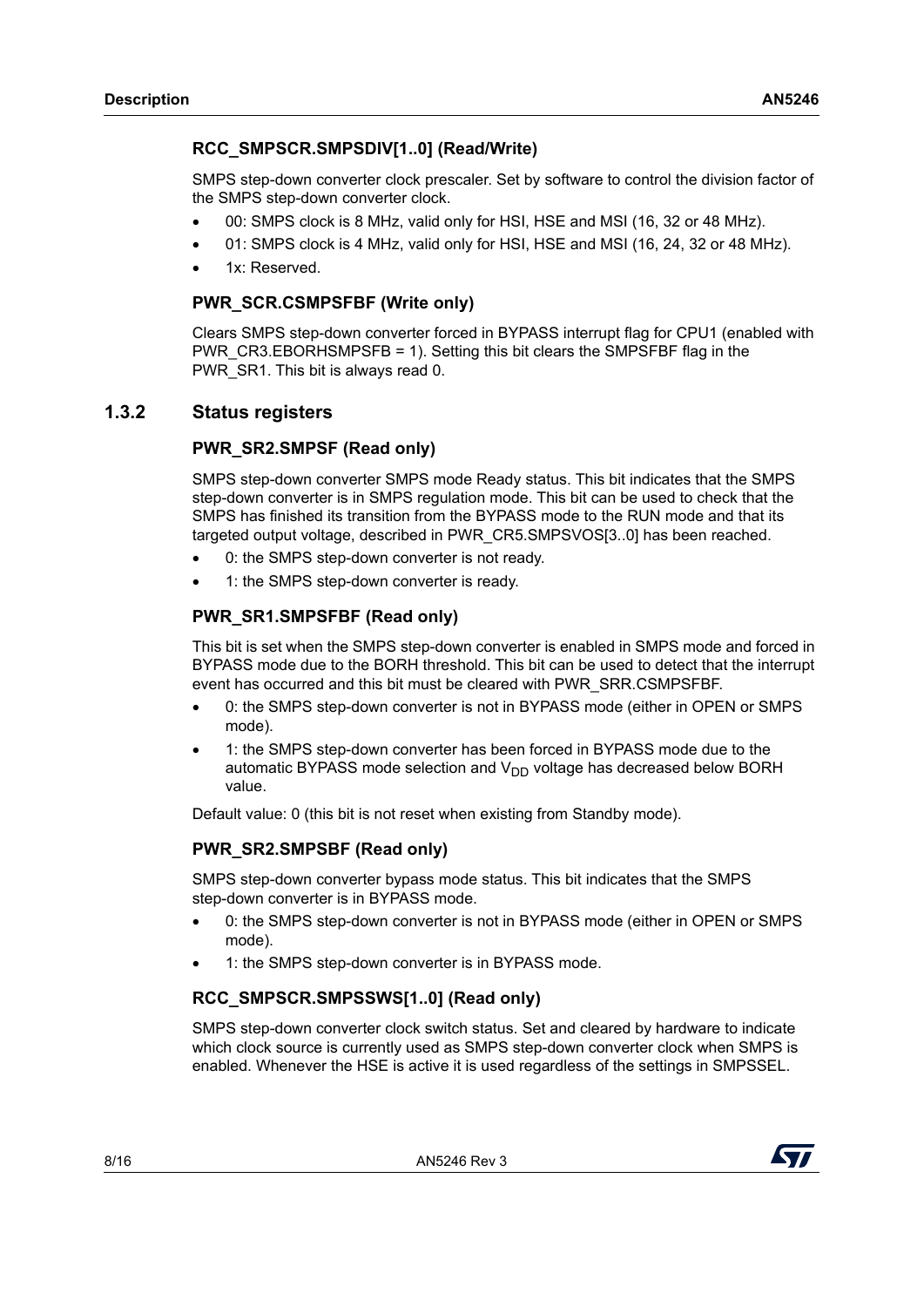### **RCC\_SMPSCR.SMPSDIV[1..0] (Read/Write)**

SMPS step-down converter clock prescaler. Set by software to control the division factor of the SMPS step-down converter clock.

- 00: SMPS clock is 8 MHz, valid only for HSI, HSE and MSI (16, 32 or 48 MHz).
- 01: SMPS clock is 4 MHz, valid only for HSI, HSE and MSI (16, 24, 32 or 48 MHz).
- 1x: Reserved.

#### **PWR\_SCR.CSMPSFBF (Write only)**

Clears SMPS step-down converter forced in BYPASS interrupt flag for CPU1 (enabled with PWR\_CR3.EBORHSMPSFB = 1). Setting this bit clears the SMPSFBF flag in the PWR\_SR1. This bit is always read 0.

### <span id="page-7-0"></span>**1.3.2 Status registers**

#### **PWR\_SR2.SMPSF (Read only)**

SMPS step-down converter SMPS mode Ready status. This bit indicates that the SMPS step-down converter is in SMPS regulation mode. This bit can be used to check that the SMPS has finished its transition from the BYPASS mode to the RUN mode and that its targeted output voltage, described in PWR\_CR5.SMPSVOS[3..0] has been reached.

- 0: the SMPS step-down converter is not ready.
- 1: the SMPS step-down converter is ready.

### **PWR\_SR1.SMPSFBF (Read only)**

This bit is set when the SMPS step-down converter is enabled in SMPS mode and forced in BYPASS mode due to the BORH threshold. This bit can be used to detect that the interrupt event has occurred and this bit must be cleared with PWR\_SRR.CSMPSFBF.

- 0: the SMPS step-down converter is not in BYPASS mode (either in OPEN or SMPS mode).
- 1: the SMPS step-down converter has been forced in BYPASS mode due to the automatic BYPASS mode selection and  $V_{DD}$  voltage has decreased below BORH value.

Default value: 0 (this bit is not reset when existing from Standby mode).

### **PWR\_SR2.SMPSBF (Read only)**

SMPS step-down converter bypass mode status. This bit indicates that the SMPS step-down converter is in BYPASS mode.

- 0: the SMPS step-down converter is not in BYPASS mode (either in OPEN or SMPS mode).
- 1: the SMPS step-down converter is in BYPASS mode.

#### **RCC\_SMPSCR.SMPSSWS[1..0] (Read only)**

SMPS step-down converter clock switch status. Set and cleared by hardware to indicate which clock source is currently used as SMPS step-down converter clock when SMPS is enabled. Whenever the HSE is active it is used regardless of the settings in SMPSSEL.

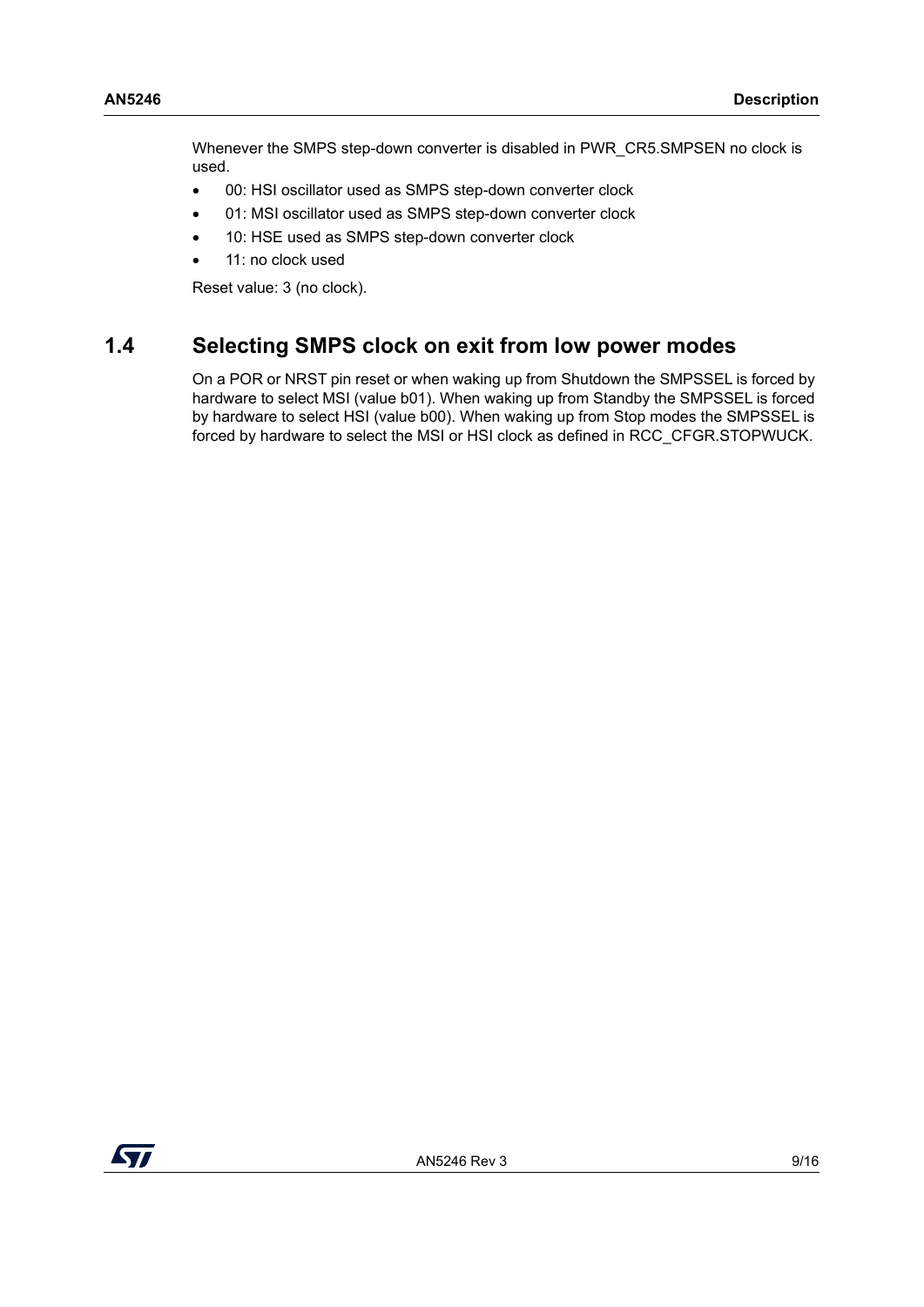Whenever the SMPS step-down converter is disabled in PWR\_CR5.SMPSEN no clock is used.

- 00: HSI oscillator used as SMPS step-down converter clock
- 01: MSI oscillator used as SMPS step-down converter clock
- 10: HSE used as SMPS step-down converter clock
- 11: no clock used

Reset value: 3 (no clock).

## <span id="page-8-0"></span>**1.4 Selecting SMPS clock on exit from low power modes**

On a POR or NRST pin reset or when waking up from Shutdown the SMPSSEL is forced by hardware to select MSI (value b01). When waking up from Standby the SMPSSEL is forced by hardware to select HSI (value b00). When waking up from Stop modes the SMPSSEL is forced by hardware to select the MSI or HSI clock as defined in RCC\_CFGR.STOPWUCK.

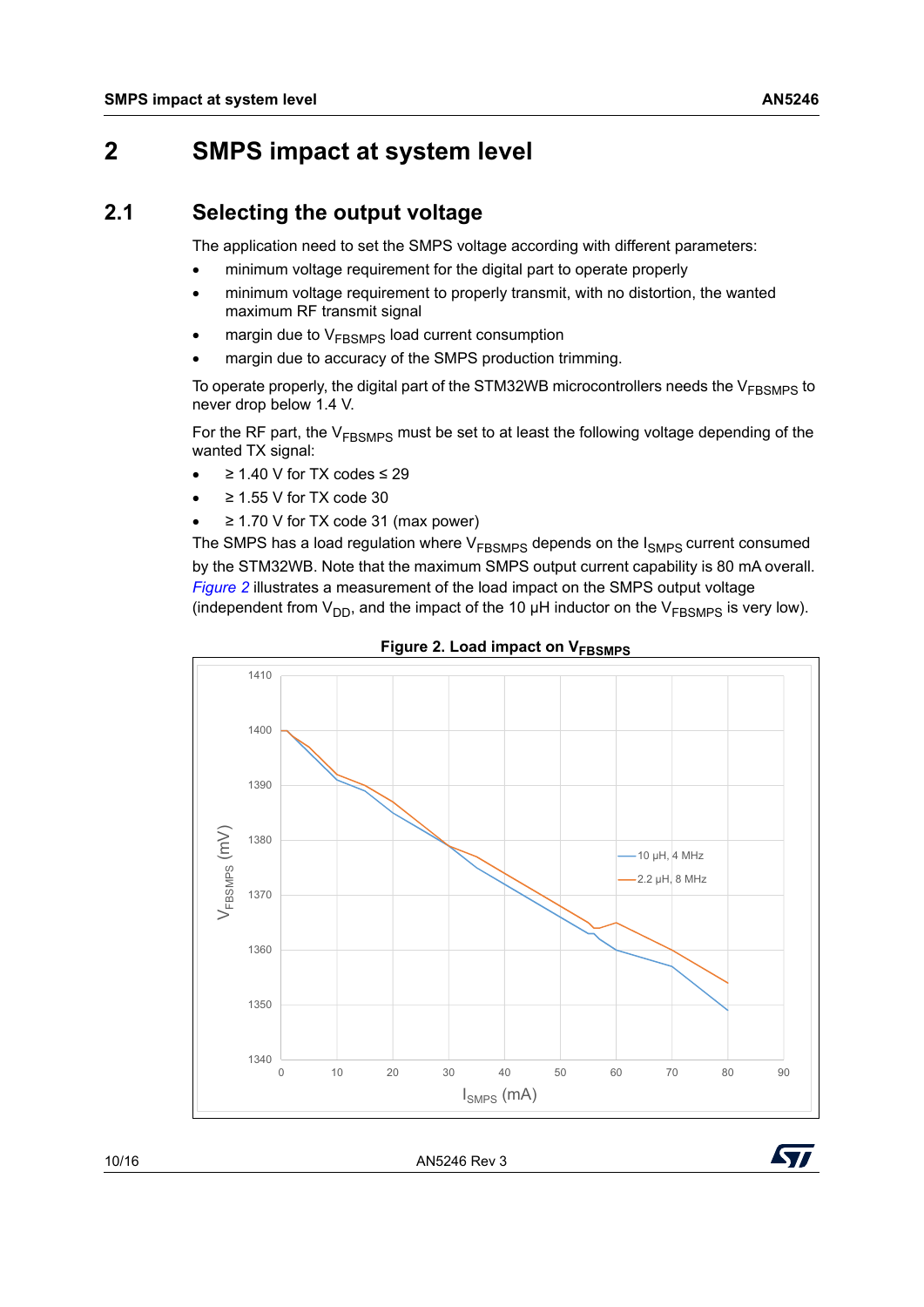# <span id="page-9-0"></span>**2 SMPS impact at system level**

## <span id="page-9-1"></span>**2.1 Selecting the output voltage**

The application need to set the SMPS voltage according with different parameters:

- minimum voltage requirement for the digital part to operate properly
- minimum voltage requirement to properly transmit, with no distortion, the wanted maximum RF transmit signal
- margin due to V<sub>FBSMPS</sub> load current consumption
- margin due to accuracy of the SMPS production trimming.

To operate properly, the digital part of the STM32WB microcontrollers needs the  $V_{\text{FRSMPS}}$  to never drop below 1.4 V.

For the RF part, the  $V_{FBSMPS}$  must be set to at least the following voltage depending of the wanted TX signal:

- ≥ 1.40 V for TX codes ≤ 29
- ≥ 1.55 V for TX code 30
- ≥ 1.70 V for TX code 31 (max power)

The SMPS has a load regulation where  $V_{FBSMPS}$  depends on the  $I_{SMPS}$  current consumed by the STM32WB. Note that the maximum SMPS output current capability is 80 mA overall. *[Figure 2](#page-9-2)* illustrates a measurement of the load impact on the SMPS output voltage (independent from  $V_{DD}$ , and the impact of the 10 µH inductor on the  $V_{FBSMPS}$  is very low).

<span id="page-9-2"></span>



10/16 AN5246 Rev 3

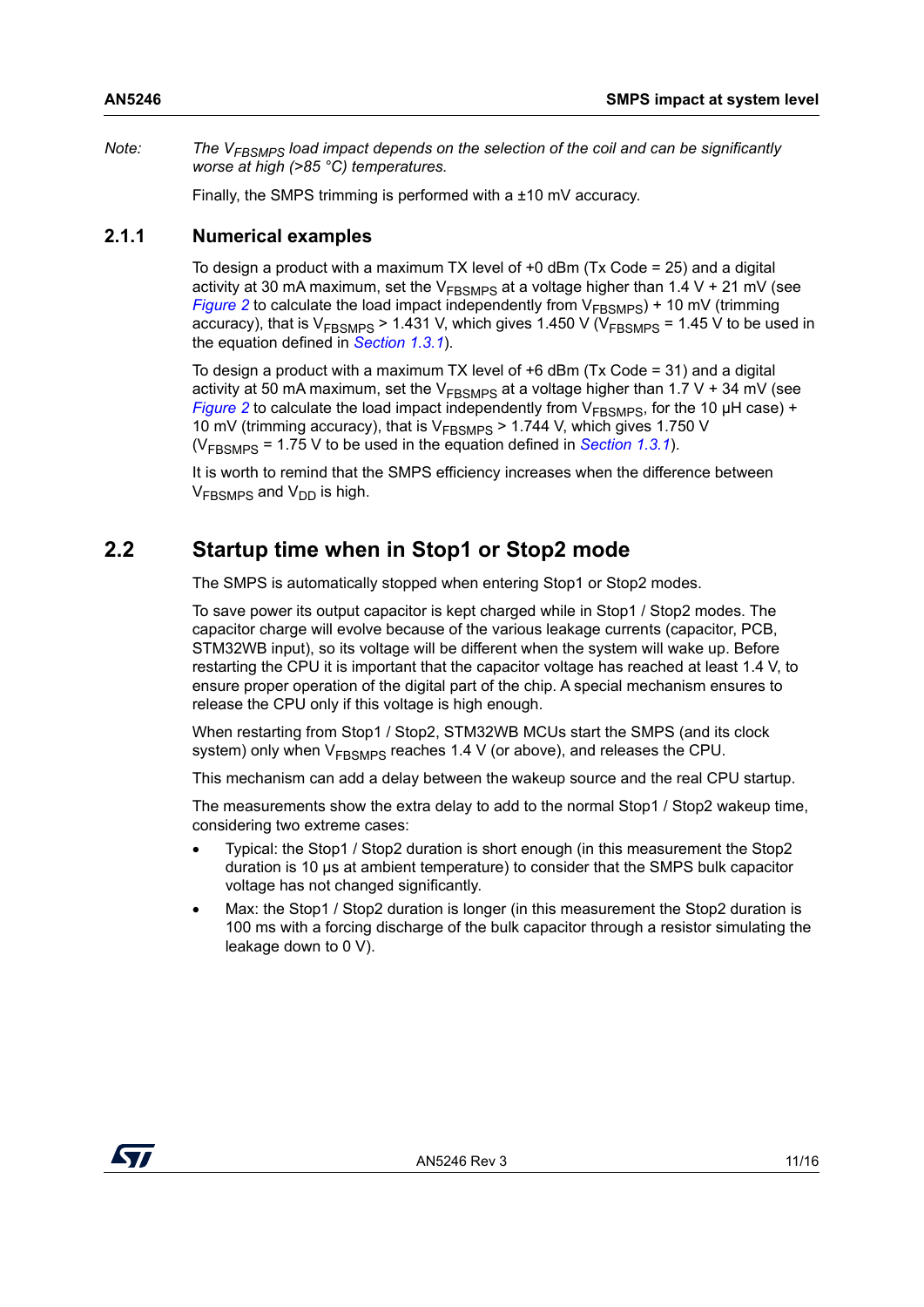*Note:* The V<sub>FBSMPS</sub> load impact depends on the selection of the coil and can be significantly *worse at high (>85 °C) temperatures.*

Finally, the SMPS trimming is performed with a ±10 mV accuracy.

### <span id="page-10-0"></span>**2.1.1 Numerical examples**

To design a product with a maximum TX level of +0 dBm (Tx Code = 25) and a digital activity at 30 mA maximum, set the  $V_{FBSMPS}$  at a voltage higher than 1.4 V + 21 mV (see *[Figure](#page-9-2)* 2 to calculate the load impact independently from  $V_{FBSMPS}$ ) + 10 mV (trimming accuracy), that is  $V_{FBSMPS}$  > 1.431 V, which gives 1.450 V ( $V_{FBSMPS}$  = 1.45 V to be used in the equation defined in *[Section](#page-5-1) 1.3.1*).

To design a product with a maximum TX level of +6 dBm (Tx Code = 31) and a digital activity at 50 mA maximum, set the  $V_{\text{FBSMPS}}$  at a voltage higher than 1.7 V + 34 mV (see *[Figure](#page-9-2)* 2 to calculate the load impact independently from  $V_{FRSMPS}$ , for the 10 µH case) + 10 mV (trimming accuracy), that is  $V_{\text{FSMPS}} > 1.744$  V, which gives 1.750 V ( $V_{\text{FRSMPS}}$  = 1.75 V to be used in the equation defined in *[Section](#page-5-1) 1.3.1*).

It is worth to remind that the SMPS efficiency increases when the difference between  $V_{FRSMPS}$  and  $V_{DD}$  is high.

## <span id="page-10-1"></span>**2.2 Startup time when in Stop1 or Stop2 mode**

The SMPS is automatically stopped when entering Stop1 or Stop2 modes.

To save power its output capacitor is kept charged while in Stop1 / Stop2 modes. The capacitor charge will evolve because of the various leakage currents (capacitor, PCB, STM32WB input), so its voltage will be different when the system will wake up. Before restarting the CPU it is important that the capacitor voltage has reached at least 1.4 V, to ensure proper operation of the digital part of the chip. A special mechanism ensures to release the CPU only if this voltage is high enough.

When restarting from Stop1 / Stop2, STM32WB MCUs start the SMPS (and its clock system) only when  $V_{FBSMPS}$  reaches 1.4 V (or above), and releases the CPU.

This mechanism can add a delay between the wakeup source and the real CPU startup.

The measurements show the extra delay to add to the normal Stop1 / Stop2 wakeup time, considering two extreme cases:

- Typical: the Stop1 / Stop2 duration is short enough (in this measurement the Stop2 duration is 10 µs at ambient temperature) to consider that the SMPS bulk capacitor voltage has not changed significantly.
- Max: the Stop1 / Stop2 duration is longer (in this measurement the Stop2 duration is 100 ms with a forcing discharge of the bulk capacitor through a resistor simulating the leakage down to 0 V).

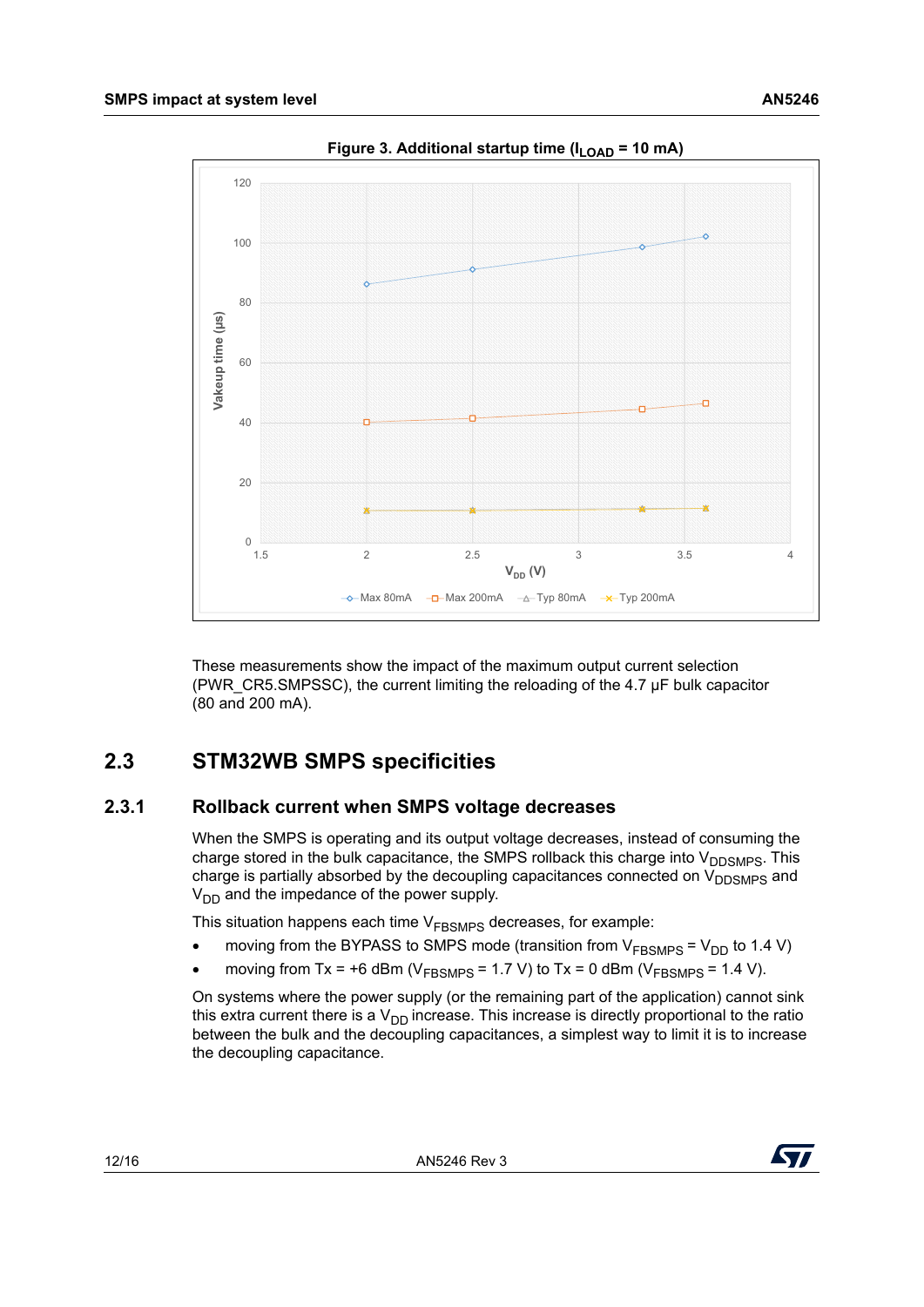<span id="page-11-2"></span>

Figure 3. Additional startup time (I<sub>LOAD</sub> = 10 mA)

These measurements show the impact of the maximum output current selection (PWR\_CR5.SMPSSC), the current limiting the reloading of the 4.7 µF bulk capacitor (80 and 200 mA).

# <span id="page-11-0"></span>**2.3 STM32WB SMPS specificities**

### <span id="page-11-1"></span>**2.3.1 Rollback current when SMPS voltage decreases**

When the SMPS is operating and its output voltage decreases, instead of consuming the charge stored in the bulk capacitance, the SMPS rollback this charge into  $V_{\text{DDSMPS}}$ . This charge is partially absorbed by the decoupling capacitances connected on  $V_{\text{DDSMPS}}$  and  $V_{DD}$  and the impedance of the power supply.

This situation happens each time  $V<sub>FBSMPS</sub>$  decreases, for example:

- moving from the BYPASS to SMPS mode (transition from  $V_{\text{FBSMPS}} = V_{\text{DD}}$  to 1.4 V)
- moving from Tx = +6 dBm ( $V_{\text{FBSMPS}}$  = 1.7 V) to Tx = 0 dBm ( $V_{\text{FBSMPS}}$  = 1.4 V).

On systems where the power supply (or the remaining part of the application) cannot sink this extra current there is a  $V_{DD}$  increase. This increase is directly proportional to the ratio between the bulk and the decoupling capacitances, a simplest way to limit it is to increase the decoupling capacitance.

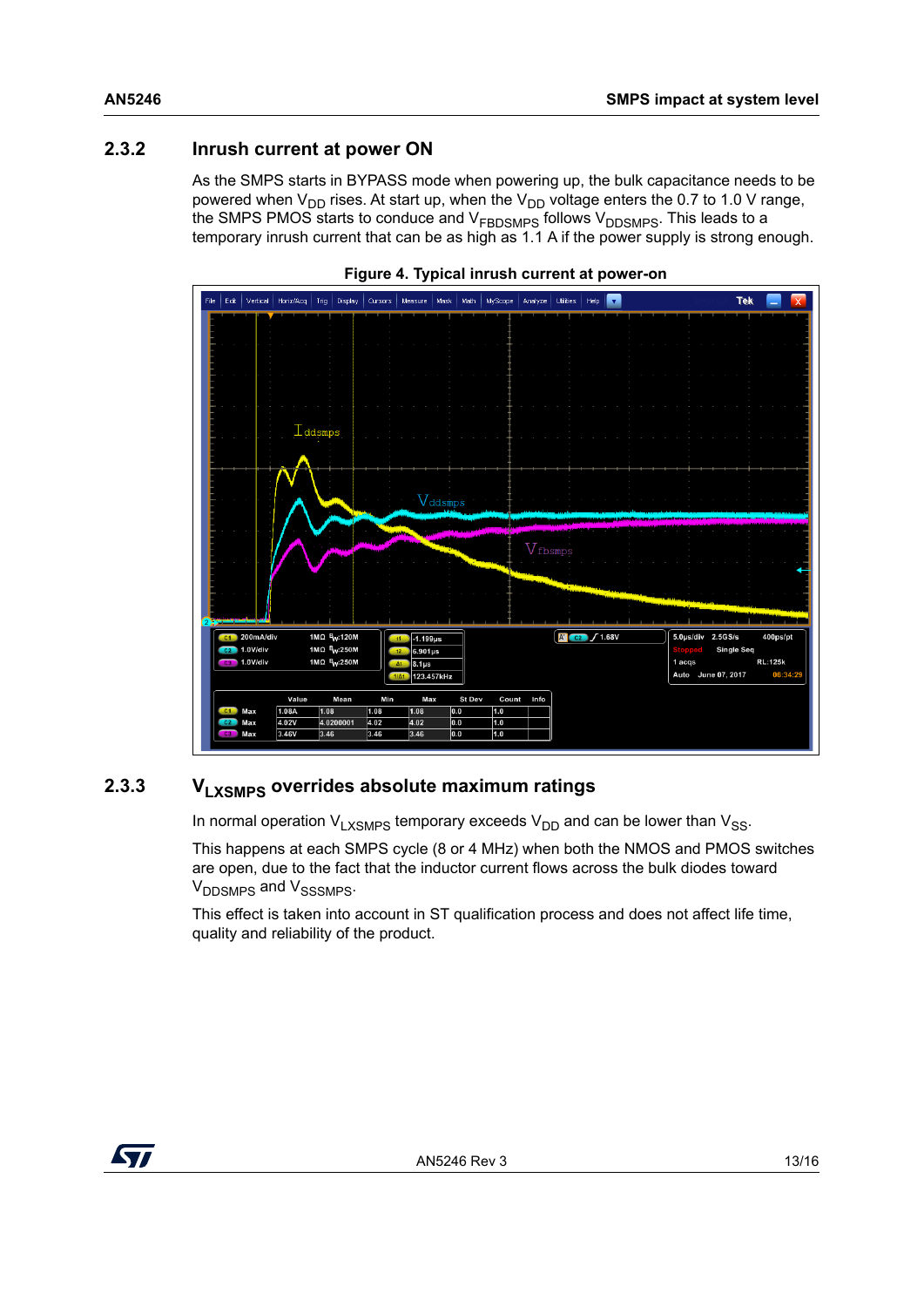## <span id="page-12-0"></span>**2.3.2 Inrush current at power ON**

As the SMPS starts in BYPASS mode when powering up, the bulk capacitance needs to be powered when  $V_{DD}$  rises. At start up, when the  $V_{DD}$  voltage enters the 0.7 to 1.0 V range, the SMPS PMOS starts to conduce and V<sub>FBDSMPS</sub> follows V<sub>DDSMPS</sub>. This leads to a temporary inrush current that can be as high as 1.1 A if the power supply is strong enough.

<span id="page-12-2"></span>



## <span id="page-12-1"></span>**2.3.3 VLXSMPS overrides absolute maximum ratings**

In normal operation  $V_{LXSMPS}$  temporary exceeds  $V_{DD}$  and can be lower than  $V_{SS}$ .

This happens at each SMPS cycle (8 or 4 MHz) when both the NMOS and PMOS switches are open, due to the fact that the inductor current flows across the bulk diodes toward V<sub>DDSMPS</sub> and V<sub>SSSMPS</sub>.

This effect is taken into account in ST qualification process and does not affect life time, quality and reliability of the product.

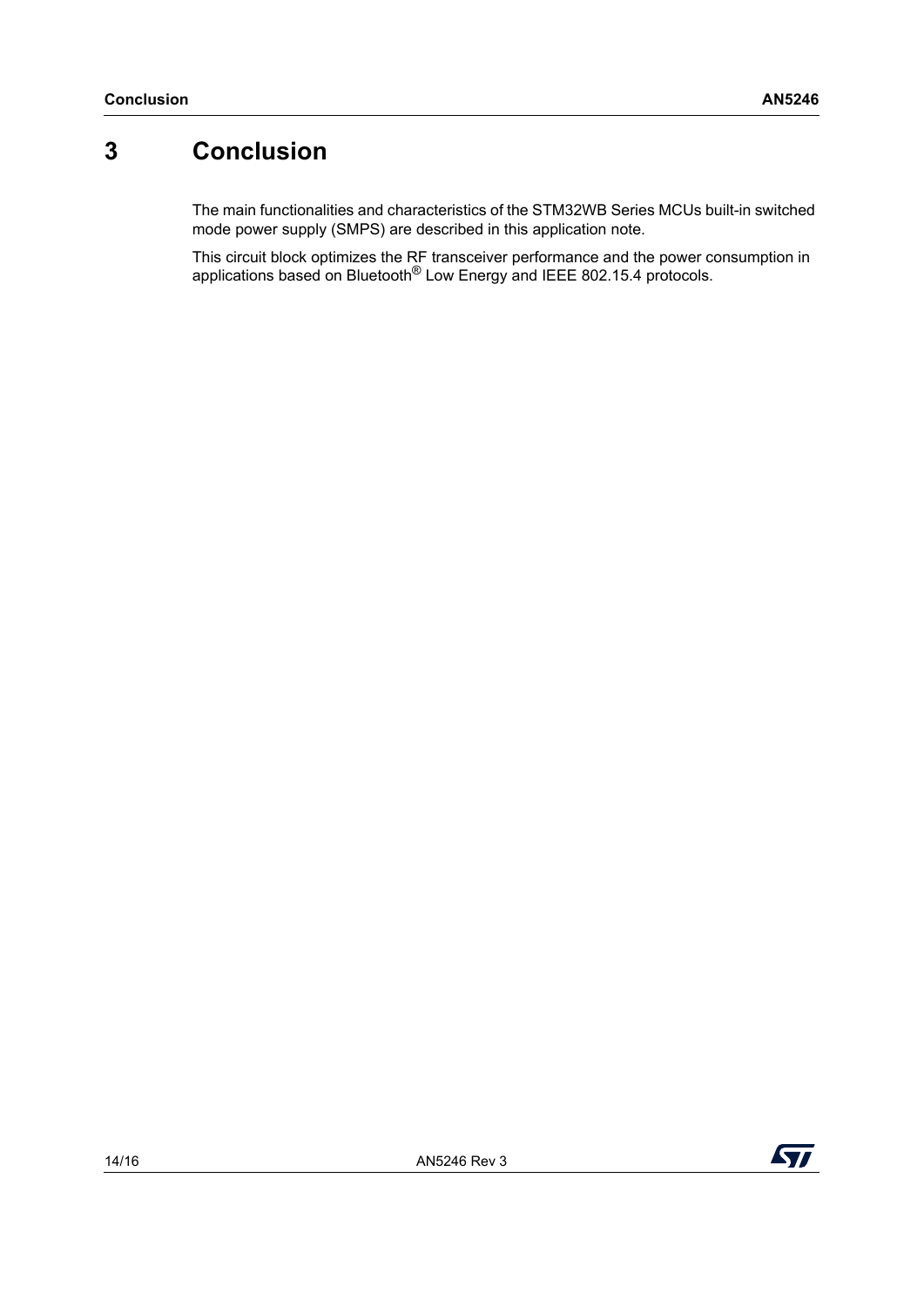# <span id="page-13-0"></span>**3 Conclusion**

The main functionalities and characteristics of the STM32WB Series MCUs built-in switched mode power supply (SMPS) are described in this application note.

This circuit block optimizes the RF transceiver performance and the power consumption in applications based on Bluetooth® Low Energy and IEEE 802.15.4 protocols.

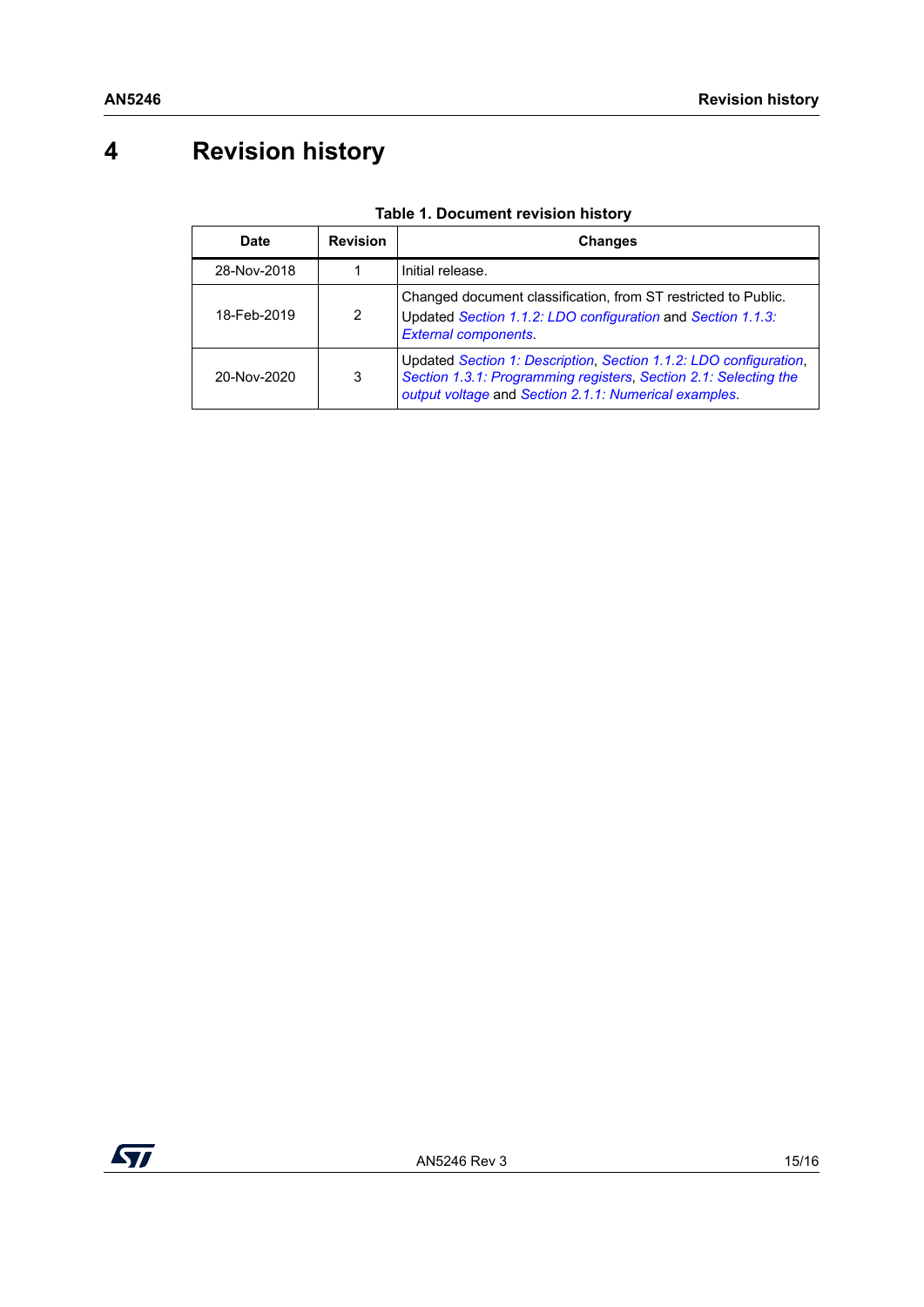# <span id="page-14-0"></span>**4 Revision history**

| Date        | <b>Revision</b> | Changes                                                                                                                                                                                        |
|-------------|-----------------|------------------------------------------------------------------------------------------------------------------------------------------------------------------------------------------------|
| 28-Nov-2018 |                 | Initial release.                                                                                                                                                                               |
| 18-Feb-2019 | 2               | Changed document classification, from ST restricted to Public.<br>Updated Section 1.1.2: LDO configuration and Section 1.1.3:<br><b>External components.</b>                                   |
| 20-Nov-2020 | 3               | Updated Section 1: Description, Section 1.1.2: LDO configuration,<br>Section 1.3.1: Programming registers, Section 2.1: Selecting the<br>output voltage and Section 2.1.1: Numerical examples. |

| Table 1. Document revision history |
|------------------------------------|
|------------------------------------|